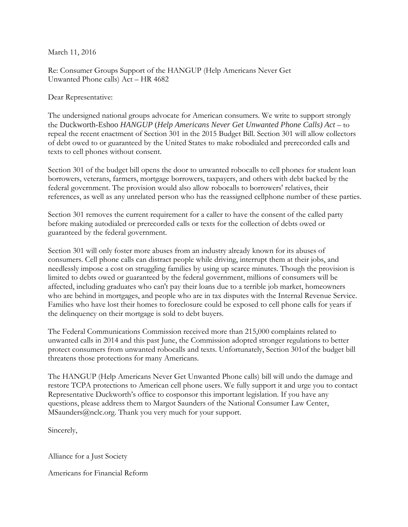March 11, 2016

Re: Consumer Groups Support of the HANGUP (Help Americans Never Get Unwanted Phone calls) Act – HR 4682

Dear Representative:

The undersigned national groups advocate for American consumers. We write to support strongly the Duckworth-Eshoo *HANGUP* (*Help Americans Never Get Unwanted Phone Calls) Act* – to repeal the recent enactment of Section 301 in the 2015 Budget Bill. Section 301 will allow collectors of debt owed to or guaranteed by the United States to make robodialed and prerecorded calls and texts to cell phones without consent.

Section 301 of the budget bill opens the door to unwanted robocalls to cell phones for student loan borrowers, veterans, farmers, mortgage borrowers, taxpayers, and others with debt backed by the federal government. The provision would also allow robocalls to borrowers' relatives, their references, as well as any unrelated person who has the reassigned cellphone number of these parties.

Section 301 removes the current requirement for a caller to have the consent of the called party before making autodialed or prerecorded calls or texts for the collection of debts owed or guaranteed by the federal government.

Section 301 will only foster more abuses from an industry already known for its abuses of consumers. Cell phone calls can distract people while driving, interrupt them at their jobs, and needlessly impose a cost on struggling families by using up scarce minutes. Though the provision is limited to debts owed or guaranteed by the federal government, millions of consumers will be affected, including graduates who can't pay their loans due to a terrible job market, homeowners who are behind in mortgages, and people who are in tax disputes with the Internal Revenue Service. Families who have lost their homes to foreclosure could be exposed to cell phone calls for years if the delinquency on their mortgage is sold to debt buyers.

The Federal Communications Commission received more than 215,000 complaints related to unwanted calls in 2014 and this past June, the Commission adopted stronger regulations to better protect consumers from unwanted robocalls and texts. Unfortunately, Section 301of the budget bill threatens those protections for many Americans.

The HANGUP (Help Americans Never Get Unwanted Phone calls) bill will undo the damage and restore TCPA protections to American cell phone users. We fully support it and urge you to contact Representative Duckworth's office to cosponsor this important legislation. If you have any questions, please address them to Margot Saunders of the National Consumer Law Center, MSaunders@nclc.org. Thank you very much for your support.

Sincerely,

Alliance for a Just Society

Americans for Financial Reform